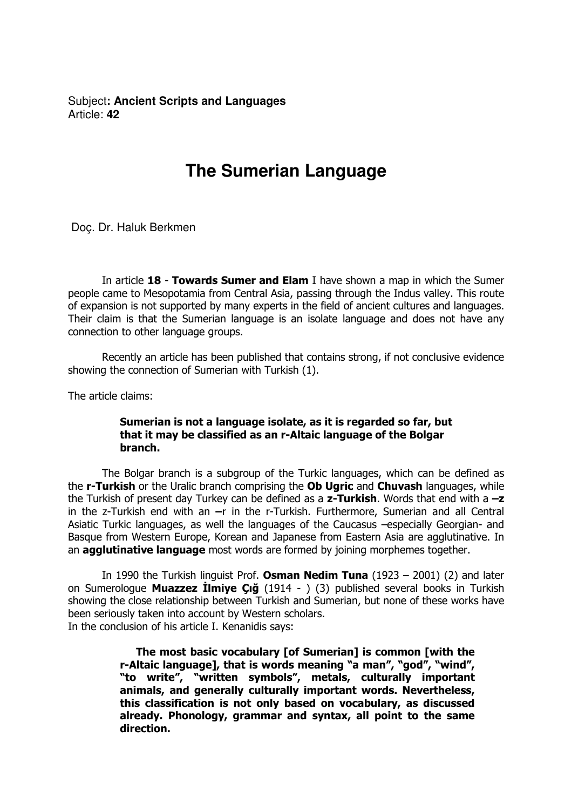Subject**: Ancient Scripts and Languages**  Article: **42**

## **The Sumerian Language**

Doç. Dr. Haluk Berkmen

In article 18 - Towards Sumer and Elam I have shown a map in which the Sumer people came to Mesopotamia from Central Asia, passing through the Indus valley. This route of expansion is not supported by many experts in the field of ancient cultures and languages. Their claim is that the Sumerian language is an isolate language and does not have any connection to other language groups.

Recently an article has been published that contains strong, if not conclusive evidence showing the connection of Sumerian with Turkish (1).

The article claims:

## Sumerian is not a language isolate, as it is regarded so far, but that it may be classified as an r-Altaic language of the Bolgar branch.

The Bolgar branch is a subgroup of the Turkic languages, which can be defined as the r-Turkish or the Uralic branch comprising the Ob Ugric and Chuvash languages, while the Turkish of present day Turkey can be defined as a  $z$ -Turkish. Words that end with a  $-z$ in the z-Turkish end with an  $-r$  in the r-Turkish. Furthermore, Sumerian and all Central Asiatic Turkic languages, as well the languages of the Caucasus –especially Georgian- and Basque from Western Europe, Korean and Japanese from Eastern Asia are agglutinative. In an **agglutinative language** most words are formed by joining morphemes together.

In 1990 the Turkish linguist Prof. Osman Nedim Tuna  $(1923 - 2001)$  (2) and later on Sumerologue Muazzez Ilmiye Çığ (1914 - ) (3) published several books in Turkish showing the close relationship between Turkish and Sumerian, but none of these works have been seriously taken into account by Western scholars. In the conclusion of his article I. Kenanidis says:

> The most basic vocabulary [of Sumerian] is common [with the r-Altaic language], that is words meaning "a man", "god", "wind", "to write", "written symbols", metals, culturally important animals, and generally culturally important words. Nevertheless, this classification is not only based on vocabulary, as discussed already. Phonology, grammar and syntax, all point to the same direction.